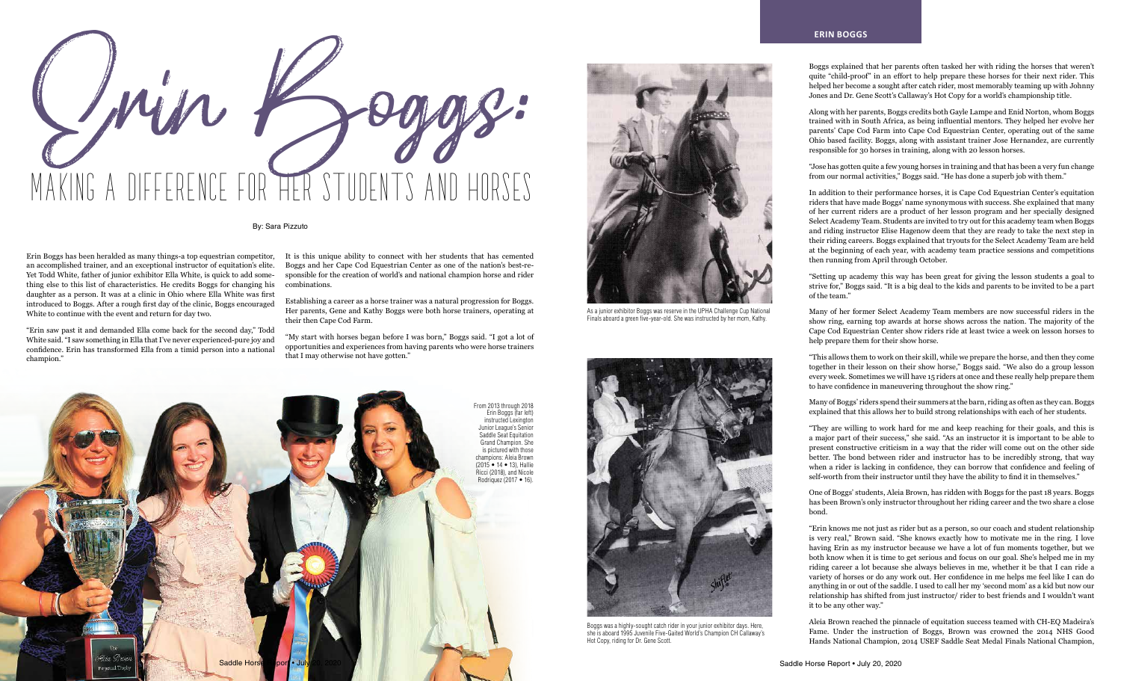Boggs explained that her parents often tasked her with riding the horses that weren't quite "child-proof" in an effort to help prepare these horses for their next rider. This helped her become a sought after catch rider, most memorably teaming up with Johnny Jones and Dr. Gene Scott's Callaway's Hot Copy for a world's championship title.

Along with her parents, Boggs credits both Gayle Lampe and Enid Norton, whom Boggs trained with in South Africa, as being influential mentors. They helped her evolve her parents' Cape Cod Farm into Cape Cod Equestrian Center, operating out of the same Ohio based facility. Boggs, along with assistant trainer Jose Hernandez, are currently responsible for 30 horses in training, along with 20 lesson horses.

"Jose has gotten quite a few young horses in training and that has been a very fun change from our normal activities," Boggs said. "He has done a superb job with them."

In addition to their performance horses, it is Cape Cod Equestrian Center's equitation riders that have made Boggs' name synonymous with success. She explained that many of her current riders are a product of her lesson program and her specially designed Select Academy Team. Students are invited to try out for this academy team when Boggs and riding instructor Elise Hagenow deem that they are ready to take the next step in their riding careers. Boggs explained that tryouts for the Select Academy Team are held at the beginning of each year, with academy team practice sessions and competitions then running from April through October.

"Setting up academy this way has been great for giving the lesson students a goal to strive for," Boggs said. "It is a big deal to the kids and parents to be invited to be a part of the team."

Many of her former Select Academy Team members are now successful riders in the show ring, earning top awards at horse shows across the nation. The majority of the Cape Cod Equestrian Center show riders ride at least twice a week on lesson horses to help prepare them for their show horse.

"This allows them to work on their skill, while we prepare the horse, and then they come together in their lesson on their show horse," Boggs said. "We also do a group lesson every week. Sometimes we will have 15 riders at once and these really help prepare them to have confidence in maneuvering throughout the show ring."

Many of Boggs' riders spend their summers at the barn, riding as often as they can. Boggs explained that this allows her to build strong relationships with each of her students.

"They are willing to work hard for me and keep reaching for their goals, and this is a major part of their success," she said. "As an instructor it is important to be able to present constructive criticism in a way that the rider will come out on the other side better. The bond between rider and instructor has to be incredibly strong, that way when a rider is lacking in confidence, they can borrow that confidence and feeling of self-worth from their instructor until they have the ability to find it in themselves."

One of Boggs' students, Aleia Brown, has ridden with Boggs for the past 18 years. Boggs has been Brown's only instructor throughout her riding career and the two share a close bond.

"Erin knows me not just as rider but as a person, so our coach and student relationship is very real," Brown said. "She knows exactly how to motivate me in the ring. I love having Erin as my instructor because we have a lot of fun moments together, but we both know when it is time to get serious and focus on our goal. She's helped me in my riding career a lot because she always believes in me, whether it be that I can ride a variety of horses or do any work out. Her confidence in me helps me feel like I can do anything in or out of the saddle. I used to call her my 'second mom' as a kid but now our relationship has shifted from just instructor/ rider to best friends and I wouldn't want it to be any other way."

Aleia Brown reached the pinnacle of equitation success teamed with CH-EQ Madeira's Fame. Under the instruction of Boggs, Brown was crowned the 2014 NHS Good Hands National Champion, 2014 USEF Saddle Seat Medal Finals National Champion,

## By: Sara Pizzuto

an accomplished trainer, and an exceptional instructor of equitation's elite. Yet Todd White, father of junior exhibitor Ella White, is quick to add something else to this list of characteristics. He credits Boggs for changing his daughter as a person. It was at a clinic in Ohio where Ella White was first introduced to Boggs. After a rough first day of the clinic, Boggs encouraged White to continue with the event and return for day two.

Erin Boggs has been heralded as many things-a top equestrian competitor, It is this unique ability to connect with her students that has cemented Boggs and her Cape Cod Equestrian Center as one of the nation's best-responsible for the creation of world's and national champion horse and rider combinations.

"Erin saw past it and demanded Ella come back for the second day," Todd White said. "I saw something in Ella that I've never experienced-pure joy and confidence. Erin has transformed Ella from a timid person into a national champion."







Establishing a career as a horse trainer was a natural progression for Boggs. Her parents, Gene and Kathy Boggs were both horse trainers, operating at their then Cape Cod Farm.

"My start with horses began before I was born," Boggs said. "I got a lot of opportunities and experiences from having parents who were horse trainers that I may otherwise not have gotten."

## **ERIN BOGGS**



Boggs was a highly-sought catch rider in your junior exhibitor days. Here, she is aboard 1995 Juvenile Five-Gaited World's Champion CH Callaway's Hot Copy, riding for Dr. Gene Scott.



As a junior exhibitor Boggs was reserve in the UPHA Challenge Cup National Finals aboard a green five-year-old. She was instructed by her mom, Kathy.